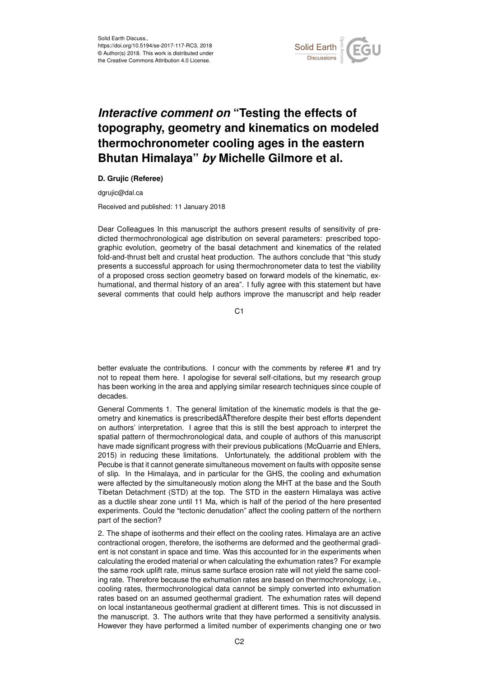

## *Interactive comment on* **"Testing the effects of topography, geometry and kinematics on modeled thermochronometer cooling ages in the eastern Bhutan Himalaya"** *by* **Michelle Gilmore et al.**

## **D. Grujic (Referee)**

dgrujic@dal.ca

Received and published: 11 January 2018

Dear Colleagues In this manuscript the authors present results of sensitivity of predicted thermochronological age distribution on several parameters: prescribed topographic evolution, geometry of the basal detachment and kinematics of the related fold-and-thrust belt and crustal heat production. The authors conclude that "this study presents a successful approach for using thermochronometer data to test the viability of a proposed cross section geometry based on forward models of the kinematic, exhumational, and thermal history of an area". I fully agree with this statement but have several comments that could help authors improve the manuscript and help reader

C<sub>1</sub>

better evaluate the contributions. I concur with the comments by referee #1 and try not to repeat them here. I apologise for several self-citations, but my research group has been working in the area and applying similar research techniques since couple of decades.

General Comments 1. The general limitation of the kinematic models is that the geometry and kinematics is prescribeda ATTherefore despite their best efforts dependent on authors' interpretation. I agree that this is still the best approach to interpret the spatial pattern of thermochronological data, and couple of authors of this manuscript have made significant progress with their previous publications (McQuarrie and Ehlers, 2015) in reducing these limitations. Unfortunately, the additional problem with the Pecube is that it cannot generate simultaneous movement on faults with opposite sense of slip. In the Himalaya, and in particular for the GHS, the cooling and exhumation were affected by the simultaneously motion along the MHT at the base and the South Tibetan Detachment (STD) at the top. The STD in the eastern Himalaya was active as a ductile shear zone until 11 Ma, which is half of the period of the here presented experiments. Could the "tectonic denudation" affect the cooling pattern of the northern part of the section?

2. The shape of isotherms and their effect on the cooling rates. Himalaya are an active contractional orogen, therefore, the isotherms are deformed and the geothermal gradient is not constant in space and time. Was this accounted for in the experiments when calculating the eroded material or when calculating the exhumation rates? For example the same rock uplift rate, minus same surface erosion rate will not yield the same cooling rate. Therefore because the exhumation rates are based on thermochronology, i.e., cooling rates, thermochronological data cannot be simply converted into exhumation rates based on an assumed geothermal gradient. The exhumation rates will depend on local instantaneous geothermal gradient at different times. This is not discussed in the manuscript. 3. The authors write that they have performed a sensitivity analysis. However they have performed a limited number of experiments changing one or two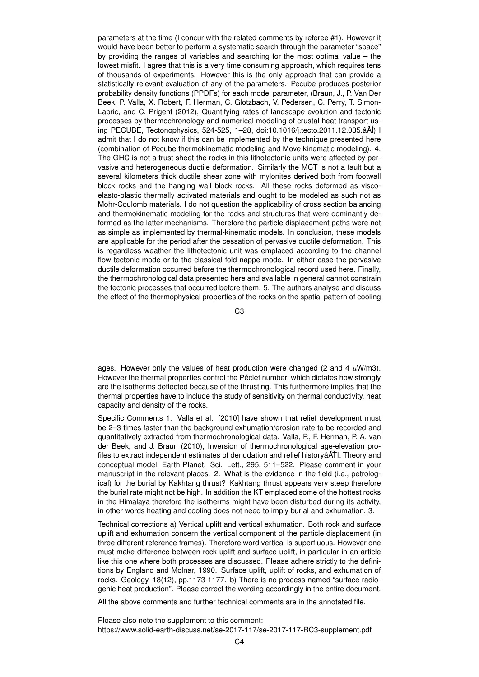parameters at the time (I concur with the related comments by referee #1). However it would have been better to perform a systematic search through the parameter "space" by providing the ranges of variables and searching for the most optimal value – the lowest misfit. I agree that this is a very time consuming approach, which requires tens of thousands of experiments. However this is the only approach that can provide a statistically relevant evaluation of any of the parameters. Pecube produces posterior probability density functions (PPDFs) for each model parameter, (Braun, J., P. Van Der Beek, P. Valla, X. Robert, F. Herman, C. Glotzbach, V. Pedersen, C. Perry, T. Simon-Labric, and C. Prigent (2012), Quantifying rates of landscape evolution and tectonic processes by thermochronology and numerical modeling of crustal heat transport using PECUBE, Tectonophysics, 524-525, 1-28, doi:10.1016/j.tecto.2011.12.035.âA<sup>(</sup>) I admit that I do not know if this can be implemented by the technique presented here (combination of Pecube thermokinematic modeling and Move kinematic modeling). 4. The GHC is not a trust sheet-the rocks in this lithotectonic units were affected by pervasive and heterogeneous ductile deformation. Similarly the MCT is not a fault but a several kilometers thick ductile shear zone with mylonites derived both from footwall block rocks and the hanging wall block rocks. All these rocks deformed as viscoelasto-plastic thermally activated materials and ought to be modeled as such not as Mohr-Coulomb materials. I do not question the applicability of cross section balancing and thermokinematic modeling for the rocks and structures that were dominantly deformed as the latter mechanisms. Therefore the particle displacement paths were not as simple as implemented by thermal-kinematic models. In conclusion, these models are applicable for the period after the cessation of pervasive ductile deformation. This is regardless weather the lithotectonic unit was emplaced according to the channel flow tectonic mode or to the classical fold nappe mode. In either case the pervasive ductile deformation occurred before the thermochronological record used here. Finally, the thermochronological data presented here and available in general cannot constrain the tectonic processes that occurred before them. 5. The authors analyse and discuss the effect of the thermophysical properties of the rocks on the spatial pattern of cooling

C3

ages. However only the values of heat production were changed (2 and 4  $\mu$ W/m3). However the thermal properties control the Péclet number, which dictates how strongly are the isotherms deflected because of the thrusting. This furthermore implies that the thermal properties have to include the study of sensitivity on thermal conductivity, heat capacity and density of the rocks.

Specific Comments 1. Valla et al. [2010] have shown that relief development must be 2–3 times faster than the background exhumation/erosion rate to be recorded and quantitatively extracted from thermochronological data. Valla, P., F. Herman, P. A. van der Beek, and J. Braun (2010), Inversion of thermochronological age-elevation profiles to extract independent estimates of denudation and relief history a and relief history and conceptual model, Earth Planet. Sci. Lett., 295, 511–522. Please comment in your manuscript in the relevant places. 2. What is the evidence in the field (i.e., petrological) for the burial by Kakhtang thrust? Kakhtang thrust appears very steep therefore the burial rate might not be high. In addition the KT emplaced some of the hottest rocks in the Himalaya therefore the isotherms might have been disturbed during its activity, in other words heating and cooling does not need to imply burial and exhumation. 3.

Technical corrections a) Vertical uplift and vertical exhumation. Both rock and surface uplift and exhumation concern the vertical component of the particle displacement (in three different reference frames). Therefore word vertical is superfluous. However one must make difference between rock uplift and surface uplift, in particular in an article like this one where both processes are discussed. Please adhere strictly to the definitions by England and Molnar, 1990. Surface uplift, uplift of rocks, and exhumation of rocks. Geology, 18(12), pp.1173-1177. b) There is no process named "surface radiogenic heat production". Please correct the wording accordingly in the entire document.

All the above comments and further technical comments are in the annotated file.

Please also note the supplement to this comment: https://www.solid-earth-discuss.net/se-2017-117/se-2017-117-RC3-supplement.pdf